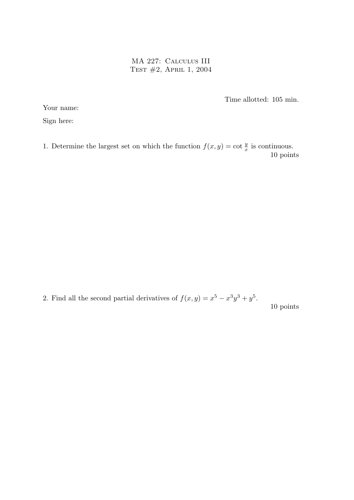MA 227: Calculus III Test #2, April 1, 2004

Time allotted: 105 min.

Your name:

Sign here:

1. Determine the largest set on which the function  $f(x, y) = \cot \frac{y}{x}$  is continuous. 10 points

2. Find all the second partial derivatives of  $f(x,y) = x^5 - x^3y^3 + y^5$ . 10 points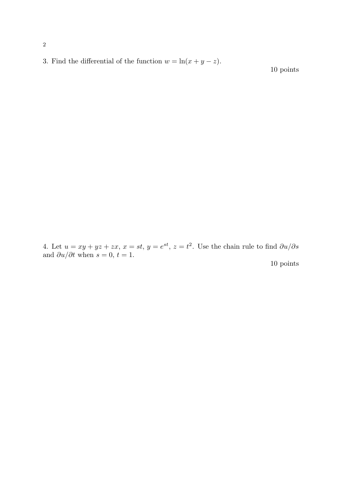3. Find the differential of the function  $w = \ln(x + y - z)$ .

10 points

4. Let  $u = xy + yz + zx$ ,  $x = st$ ,  $y = e^{st}$ ,  $z = t^2$ . Use the chain rule to find  $\partial u/\partial s$ and  $\partial u/\partial t$  when  $s = 0, t = 1$ .

10 points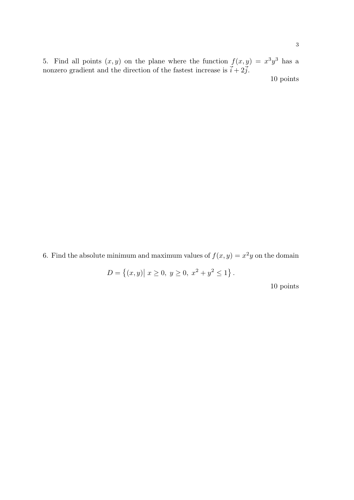5. Find all points  $(x, y)$  on the plane where the function  $f(x, y) = x^3y^3$  has a nonzero gradient and the direction of the fastest increase is  $\vec{i} + 2\vec{j}$ .

10 points

6. Find the absolute minimum and maximum values of  $f(x, y) = x^2y$  on the domain

 $D =$  $\overline{a}$  $(x, y)$  $|x \geq 0, y \geq 0, x^2 + y^2 \leq 1$ .

10 points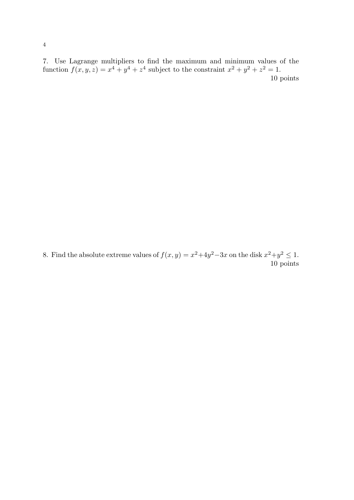7. Use Lagrange multipliers to find the maximum and minimum values of the function  $f(x, y, z) = x^4 + y^4 + z^4$  subject to the constraint  $x^2 + y^2 + z^2 = 1$ . 10 points

8. Find the absolute extreme values of  $f(x, y) = x^2 + 4y^2 - 3x$  on the disk  $x^2 + y^2 \le 1$ . 10 points